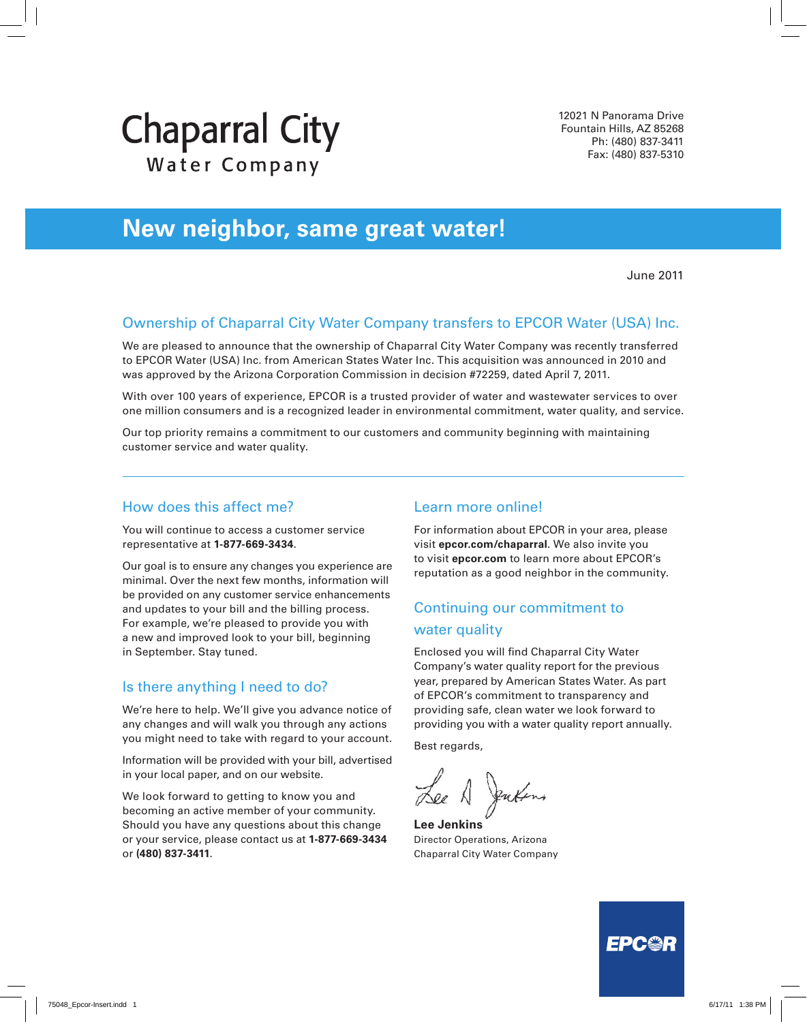# **Chaparral City** Water Company

12021 N Panorama Drive Fountain Hills, AZ 85268 Ph: (480) 837-3411 Fax: (480) 837-5310

# **New neighbor, same great water!**

June 2011

#### Ownership of Chaparral City Water Company transfers to EPCOR Water (USA) Inc.

We are pleased to announce that the ownership of Chaparral City Water Company was recently transferred to EPCOR Water (USA) Inc. from American States Water Inc. This acquisition was announced in 2010 and was approved by the Arizona Corporation Commission in decision #72259, dated April 7, 2011.

With over 100 years of experience, EPCOR is a trusted provider of water and wastewater services to over one million consumers and is a recognized leader in environmental commitment, water quality, and service.

Our top priority remains a commitment to our customers and community beginning with maintaining customer service and water quality.

#### How does this affect me?

You will continue to access a customer service representative at **1-877-669-3434**.

Our goal is to ensure any changes you experience are minimal. Over the next few months, information will be provided on any customer service enhancements and updates to your bill and the billing process. For example, we're pleased to provide you with a new and improved look to your bill, beginning in September. Stay tuned.

#### Is there anything I need to do?

We're here to help. We'll give you advance notice of any changes and will walk you through any actions you might need to take with regard to your account.

Information will be provided with your bill, advertised in your local paper, and on our website.

We look forward to getting to know you and becoming an active member of your community. Should you have any questions about this change or your service, please contact us at **1-877-669-3434** or **(480) 837-3411**.

#### Learn more online!

For information about EPCOR in your area, please visit **epcor.com/chaparral**. We also invite you to visit **epcor.com** to learn more about EPCOR's reputation as a good neighbor in the community.

#### Continuing our commitment to water quality

Enclosed you will find Chaparral City Water Company's water quality report for the previous year, prepared by American States Water. As part of EPCOR's commitment to transparency and providing safe, clean water we look forward to providing you with a water quality report annually.

Best regards,

**Lee Jenkins** Director Operations, Arizona Chaparral City Water Company

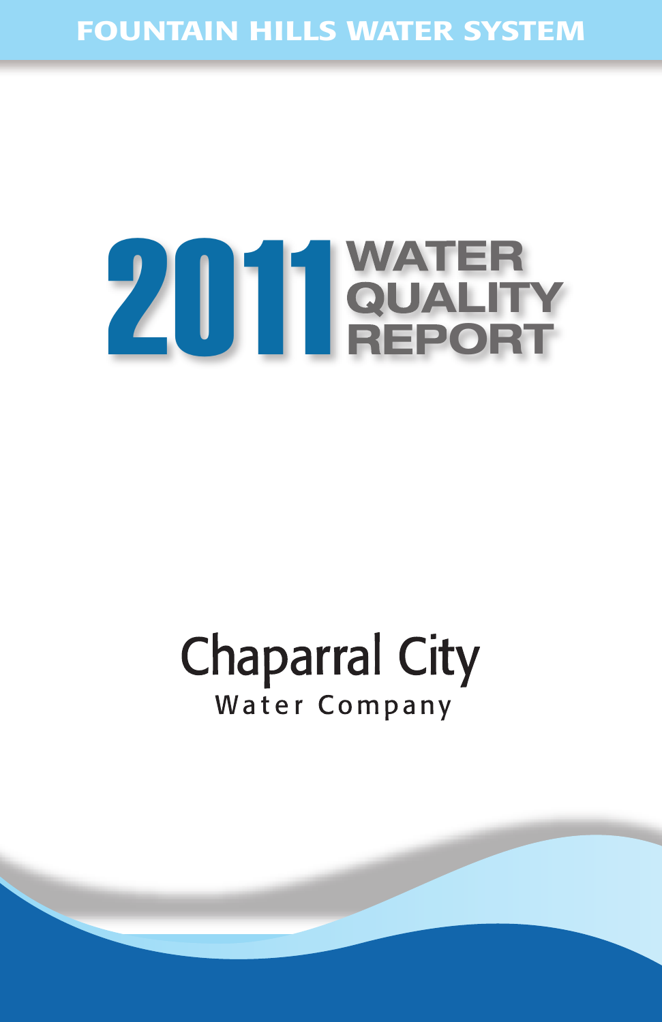#### **FOUNTAIN HILLS WATER SYSTEM**

# **TER ALITY 2011 ORT**

# **Chaparral City** Water Company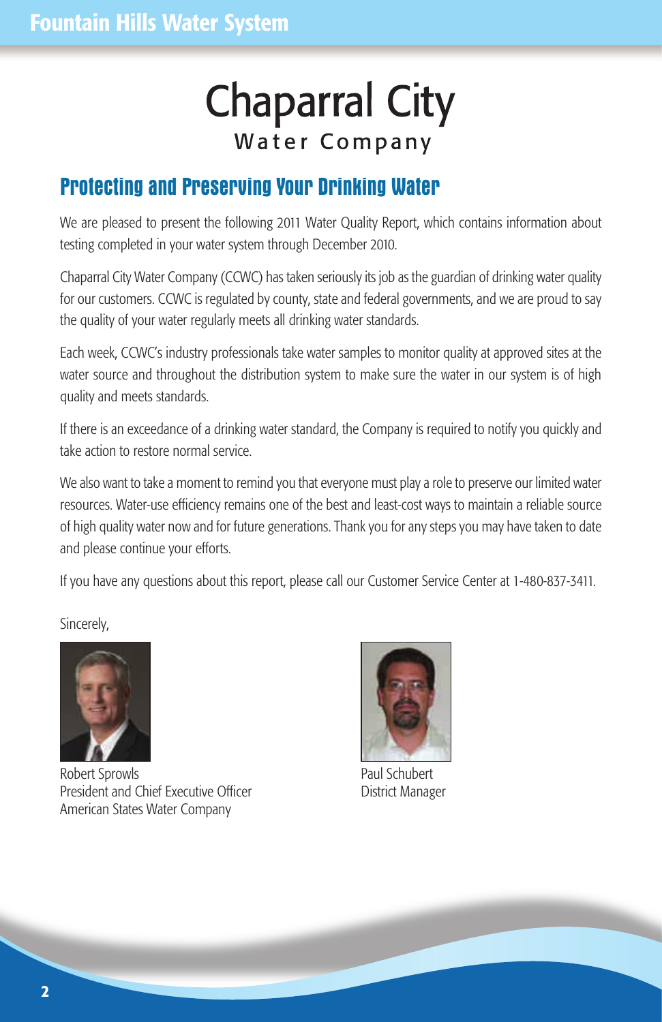# **Chaparral City** Water Company

#### **Protecting and Preserving Your Drinking Water**

We are pleased to present the following 2011 Water Quality Report, which contains information about testing completed in your water system through December 2010.

Chaparral City Water Company (CCWC) has taken seriously its job as the guardian of drinking water quality for our customers. CCWC is regulated by county, state and federal governments, and we are proud to say the quality of your water regularly meets all drinking water standards.

Each week, CCWC's industry professionals take water samples to monitor quality at approved sites at the water source and throughout the distribution system to make sure the water in our system is of high quality and meets standards.

If there is an exceedance of a drinking water standard, the Company is required to notify you quickly and take action to restore normal service.

We also want to take a moment to remind you that everyone must play a role to preserve our limited water resources. Water-use efficiency remains one of the best and least-cost ways to maintain a reliable source of high quality water now and for future generations. Thank you for any steps you may have taken to date and please continue your efforts.

If you have any questions about this report, please call our Customer Service Center at 1-480-837-3411.

Sincerely,



Robert Sprowls **Paul Schubert** Paul Schubert President and Chief Executive Officer **District Manager** American States Water Company

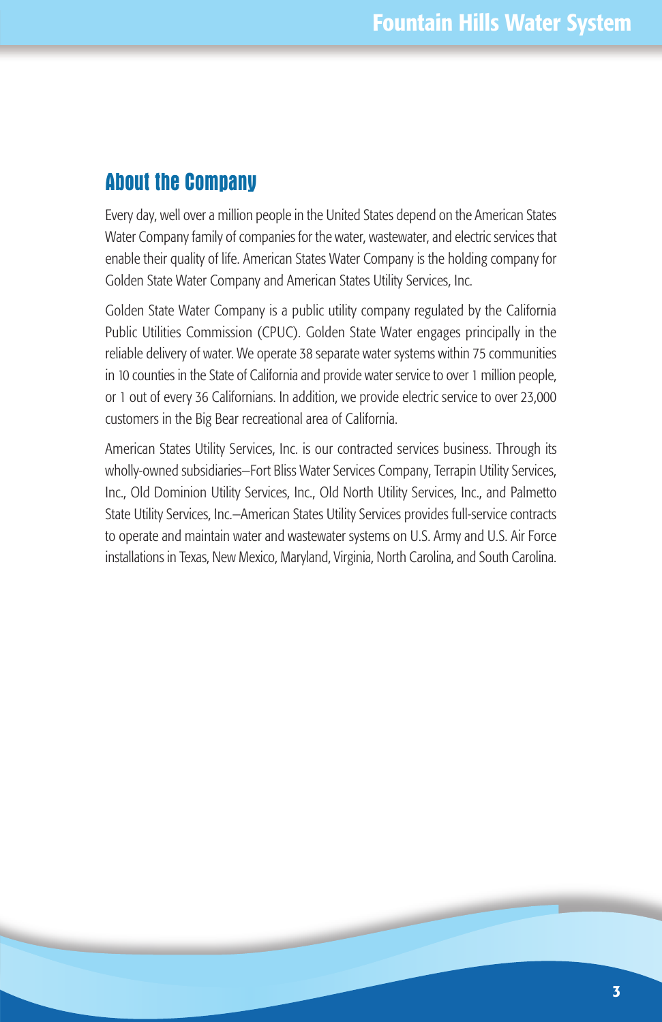#### **About the Company**

Every day, well over a million people in the United States depend on the American States Water Company family of companies for the water, wastewater, and electric services that enable their quality of life. American States Water Company is the holding company for Golden State Water Company and American States Utility Services, Inc.

Golden State Water Company is a public utility company regulated by the California Public Utilities Commission (CPUC). Golden State Water engages principally in the reliable delivery of water. We operate 38 separate water systems within 75 communities in 10 counties in the State of California and provide water service to over 1 million people, or 1 out of every 36 Californians. In addition, we provide electric service to over 23,000 customers in the Big Bear recreational area of California.

American States Utility Services, Inc. is our contracted services business. Through its wholly-owned subsidiaries—Fort Bliss Water Services Company, Terrapin Utility Services, Inc., Old Dominion Utility Services, Inc., Old North Utility Services, Inc., and Palmetto State Utility Services, Inc.—American States Utility Services provides full-service contracts to operate and maintain water and wastewater systems on U.S. Army and U.S. Air Force installations in Texas, New Mexico, Maryland, Virginia, North Carolina, and South Carolina.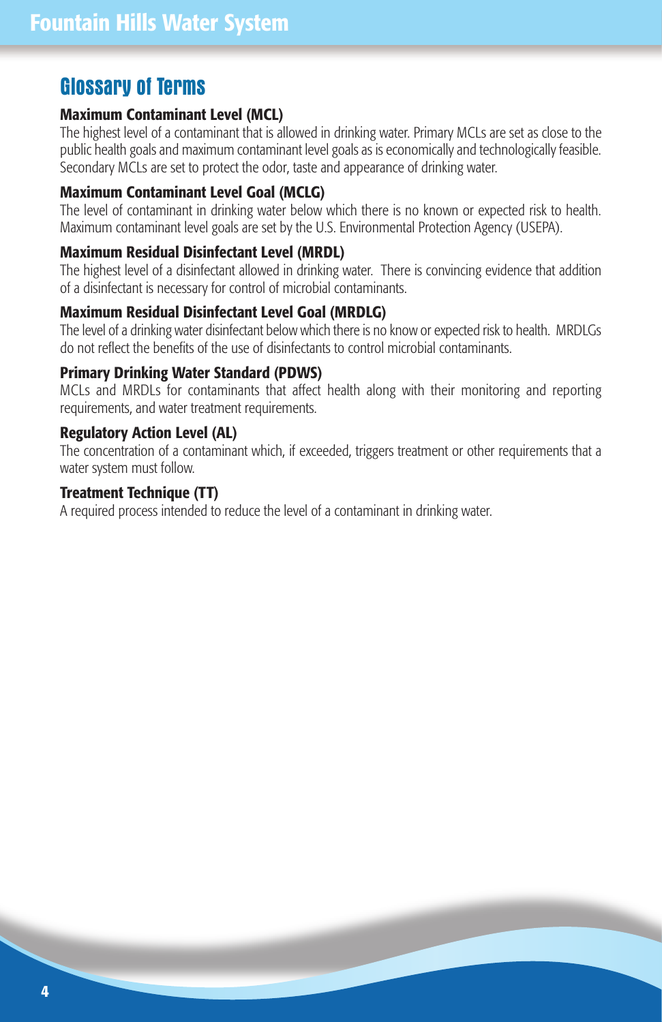#### **Glossary of Terms**

#### **Maximum Contaminant Level (MCL)**

The highest level of a contaminant that is allowed in drinking water. Primary MCLs are set as close to the public health goals and maximum contaminant level goals as is economically and technologically feasible. Secondary MCLs are set to protect the odor, taste and appearance of drinking water.

#### **Maximum Contaminant Level Goal (MCLG)**

The level of contaminant in drinking water below which there is no known or expected risk to health. Maximum contaminant level goals are set by the U.S. Environmental Protection Agency (USEPA).

#### **Maximum Residual Disinfectant Level (MRDL)**

The highest level of a disinfectant allowed in drinking water. There is convincing evidence that addition of a disinfectant is necessary for control of microbial contaminants.

#### **Maximum Residual Disinfectant Level Goal (MRDLG)**

The level of a drinking water disinfectant below which there is no know or expected risk to health. MRDLGs do not reflect the benefits of the use of disinfectants to control microbial contaminants.

#### **Primary Drinking Water Standard (PDWS)**

MCLs and MRDLs for contaminants that affect health along with their monitoring and reporting requirements, and water treatment requirements.

#### **Regulatory Action Level (AL)**

The concentration of a contaminant which, if exceeded, triggers treatment or other requirements that a water system must follow.

#### **Treatment Technique (TT)**

A required process intended to reduce the level of a contaminant in drinking water.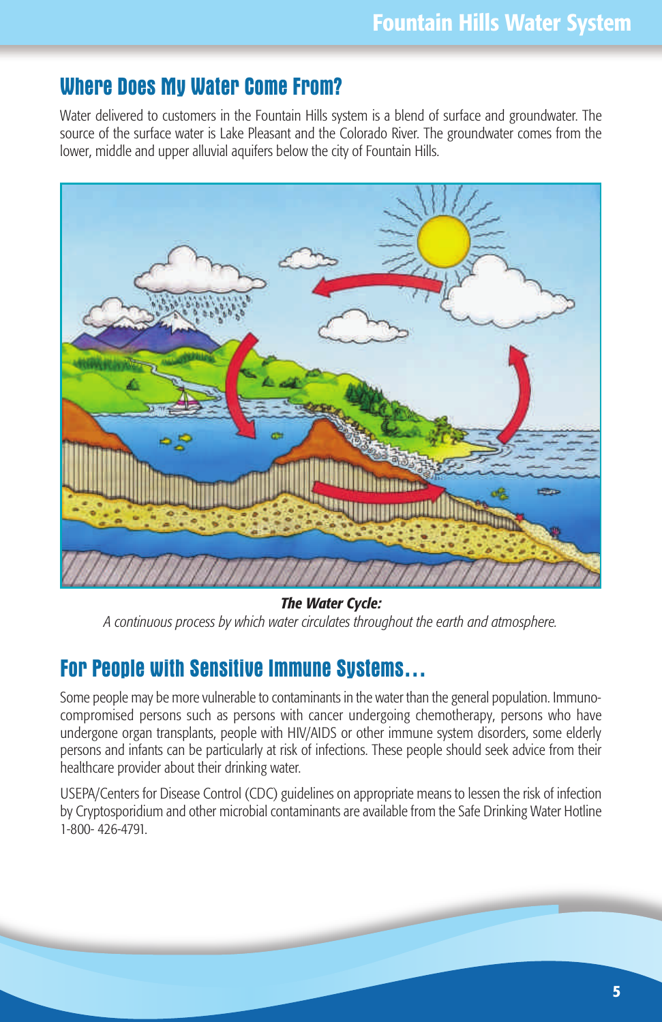#### **Where Does My Water Come From?**

Water delivered to customers in the Fountain Hills system is a blend of surface and groundwater. The source of the surface water is Lake Pleasant and the Colorado River. The groundwater comes from the lower, middle and upper alluvial aquifers below the city of Fountain Hills.



*The Water Cycle:* 

*A continuous process by which water circulates throughout the earth and atmosphere.*

#### **For People with Sensitive Immune Systems…**

Some people may be more vulnerable to contaminants in the water than the general population. Immunocompromised persons such as persons with cancer undergoing chemotherapy, persons who have undergone organ transplants, people with HIV/AIDS or other immune system disorders, some elderly persons and infants can be particularly at risk of infections. These people should seek advice from their healthcare provider about their drinking water.

USEPA/Centers for Disease Control (CDC) guidelines on appropriate means to lessen the risk of infection by Cryptosporidium and other microbial contaminants are available from the Safe Drinking Water Hotline 1-800- 426-4791.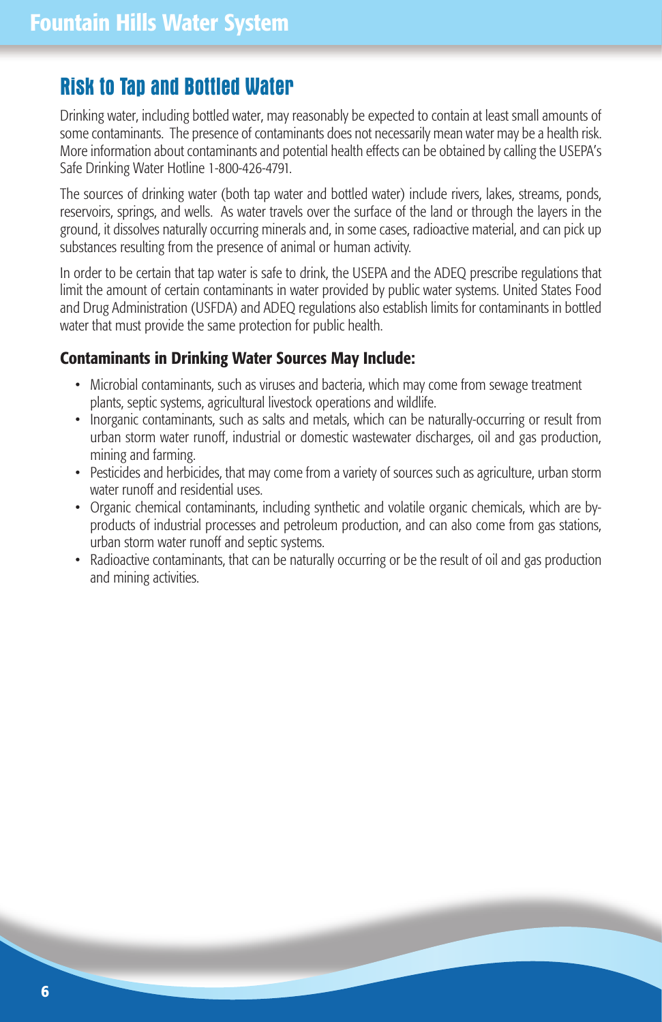#### **Risk to Tap and Bottled Water**

Drinking water, including bottled water, may reasonably be expected to contain at least small amounts of some contaminants. The presence of contaminants does not necessarily mean water may be a health risk. More information about contaminants and potential health effects can be obtained by calling the USEPA's Safe Drinking Water Hotline 1-800-426-4791.

The sources of drinking water (both tap water and bottled water) include rivers, lakes, streams, ponds, reservoirs, springs, and wells. As water travels over the surface of the land or through the layers in the ground, it dissolves naturally occurring minerals and, in some cases, radioactive material, and can pick up substances resulting from the presence of animal or human activity.

In order to be certain that tap water is safe to drink, the USEPA and the ADEQ prescribe regulations that limit the amount of certain contaminants in water provided by public water systems. United States Food and Drug Administration (USFDA) and ADEQ regulations also establish limits for contaminants in bottled water that must provide the same protection for public health.

#### **Contaminants in Drinking Water Sources May Include:**

- Microbial contaminants, such as viruses and bacteria, which may come from sewage treatment plants, septic systems, agricultural livestock operations and wildlife.
- Inorganic contaminants, such as salts and metals, which can be naturally-occurring or result from urban storm water runoff, industrial or domestic wastewater discharges, oil and gas production, mining and farming.
- Pesticides and herbicides, that may come from a variety of sources such as agriculture, urban storm water runoff and residential uses.
- Organic chemical contaminants, including synthetic and volatile organic chemicals, which are byproducts of industrial processes and petroleum production, and can also come from gas stations, urban storm water runoff and septic systems.
- Radioactive contaminants, that can be naturally occurring or be the result of oil and gas production and mining activities.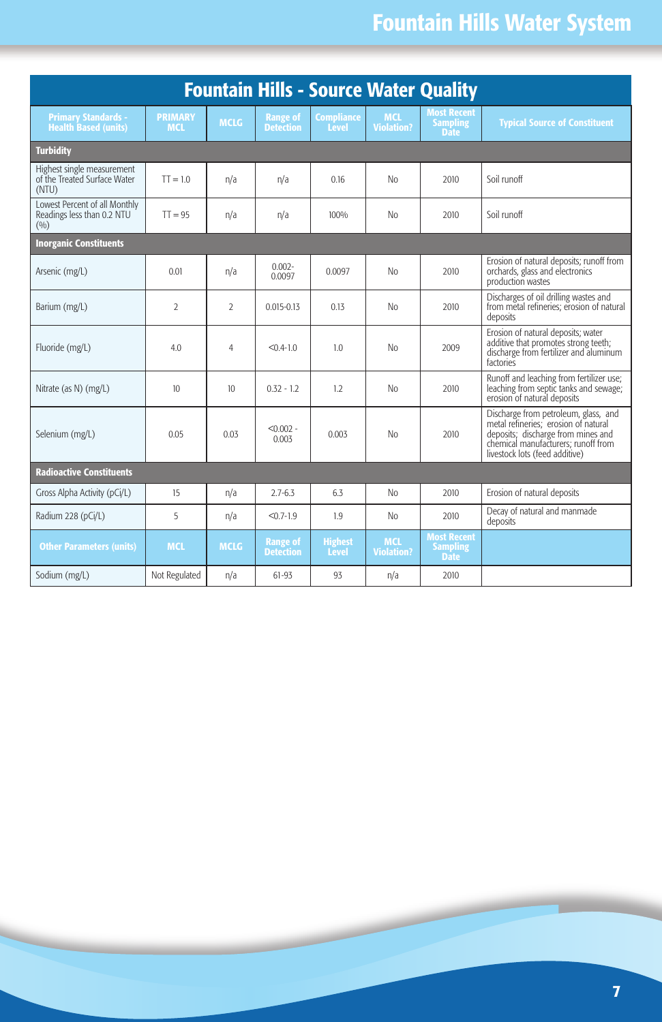# **Fountain Hills Water System**

| <b>Fountain Hills - Source Water Quality</b>                         |                              |                  |                                     |                                   |                                 |                                                      |                                                                                                                                                                                             |  |  |  |  |  |
|----------------------------------------------------------------------|------------------------------|------------------|-------------------------------------|-----------------------------------|---------------------------------|------------------------------------------------------|---------------------------------------------------------------------------------------------------------------------------------------------------------------------------------------------|--|--|--|--|--|
| <b>Primary Standards -</b><br><b>Health Based (units)</b>            | <b>PRIMARY</b><br><b>MCL</b> | <b>MCLG</b>      | <b>Range of</b><br><b>Detection</b> | <b>Compliance</b><br><b>Level</b> | <b>MCL</b><br><b>Violation?</b> | <b>Most Recent</b><br><b>Sampling</b><br><b>Date</b> | <b>Typical Source of Constituent</b>                                                                                                                                                        |  |  |  |  |  |
| <b>Turbidity</b>                                                     |                              |                  |                                     |                                   |                                 |                                                      |                                                                                                                                                                                             |  |  |  |  |  |
| Highest single measurement<br>of the Treated Surface Water<br>(NTU)  | $TT = 1.0$                   | n/a              | n/a                                 | 0.16                              | No                              | 2010                                                 | Soil runoff                                                                                                                                                                                 |  |  |  |  |  |
| Lowest Percent of all Monthly<br>Readings less than 0.2 NTU<br>(9/0) | $TT = 95$                    | n/a              | n/a                                 | 100%                              | No                              | 2010                                                 | Soil runoff                                                                                                                                                                                 |  |  |  |  |  |
| <b>Inorganic Constituents</b>                                        |                              |                  |                                     |                                   |                                 |                                                      |                                                                                                                                                                                             |  |  |  |  |  |
| Arsenic (mg/L)                                                       | 0.01                         | n/a              | $0.002 -$<br>0.0097                 | 0.0097                            | No                              | 2010                                                 | Erosion of natural deposits; runoff from<br>orchards, glass and electronics<br>production wastes                                                                                            |  |  |  |  |  |
| Barium (mg/L)                                                        | $\mathfrak{D}$               | $\mathfrak{D}$   | $0.015 - 0.13$                      | 0.13                              | No                              | 2010                                                 | Discharges of oil drilling wastes and<br>from metal refineries: erosion of natural<br>deposits                                                                                              |  |  |  |  |  |
| Fluoride (mg/L)                                                      | 4.0                          | 4                | $< 0.4 - 1.0$                       | 1.0                               | No                              | 2009                                                 | Erosion of natural deposits: water<br>additive that promotes strong teeth;<br>discharge from fertilizer and aluminum<br>factories                                                           |  |  |  |  |  |
| Nitrate (as N) (mg/L)                                                | 10 <sup>10</sup>             | 10 <sup>10</sup> | $0.32 - 1.2$                        | 1.2                               | No                              | 2010                                                 | Runoff and leaching from fertilizer use;<br>leaching from septic tanks and sewage;<br>erosion of natural deposits                                                                           |  |  |  |  |  |
| Selenium (mg/L)                                                      | 0.05                         | 0.03             | $< 0.002 -$<br>0.003                | 0.003                             | No                              | 2010                                                 | Discharge from petroleum, glass, and<br>metal refineries; erosion of natural<br>deposits; discharge from mines and<br>chemical manufacturers: runoff from<br>livestock lots (feed additive) |  |  |  |  |  |
| <b>Radioactive Constituents</b>                                      |                              |                  |                                     |                                   |                                 |                                                      |                                                                                                                                                                                             |  |  |  |  |  |
| Gross Alpha Activity (pCi/L)                                         | 15                           | n/a              | $2.7 - 6.3$                         | 6.3                               | No                              | 2010                                                 | Erosion of natural deposits                                                                                                                                                                 |  |  |  |  |  |
| Radium 228 (pCi/L)                                                   | 5                            | n/a              | $< 0.7 - 1.9$                       | 1.9                               | No                              | 2010                                                 | Decay of natural and manmade<br>deposits                                                                                                                                                    |  |  |  |  |  |
| <b>Other Parameters (units)</b>                                      | <b>MCL</b>                   | <b>MCLG</b>      | <b>Range of</b><br><b>Detection</b> | <b>Highest</b><br><b>Level</b>    | <b>MCL</b><br><b>Violation?</b> | <b>Most Recent</b><br><b>Sampling</b><br><b>Date</b> |                                                                                                                                                                                             |  |  |  |  |  |
| Sodium (mg/L)                                                        | Not Regulated                | n/a              | $61 - 93$                           | 93                                | n/a                             | 2010                                                 |                                                                                                                                                                                             |  |  |  |  |  |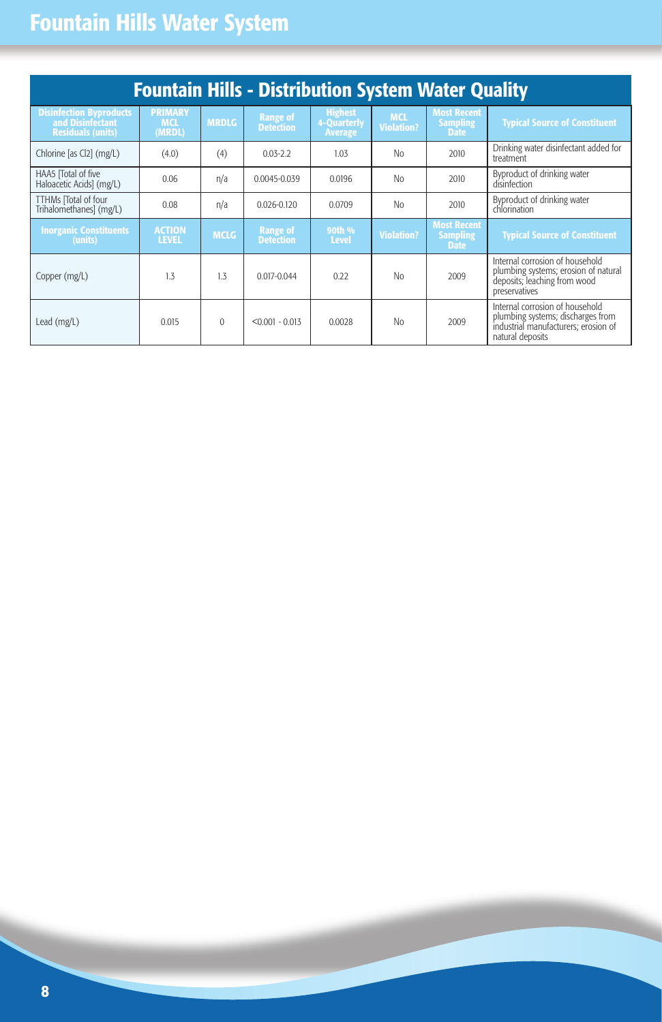### **Fountain Hills Water System**

| <b>Fountain Hills - Distribution System Water Quality</b>                      |                                        |              |                                     |                                                 |                                 |                                                      |                                                                                                                                  |  |  |  |
|--------------------------------------------------------------------------------|----------------------------------------|--------------|-------------------------------------|-------------------------------------------------|---------------------------------|------------------------------------------------------|----------------------------------------------------------------------------------------------------------------------------------|--|--|--|
| <b>Disinfection Byproducts</b><br>and Disinfectant<br><b>Residuals (units)</b> | <b>PRIMARY</b><br><b>MCL</b><br>(MRDL) | <b>MRDLG</b> | <b>Range of</b><br><b>Detection</b> | <b>Highest</b><br>4-Quarterly<br><b>Average</b> | <b>MCL</b><br><b>Violation?</b> | <b>Most Recent</b><br><b>Sampling</b><br><b>Date</b> | <b>Typical Source of Constituent</b>                                                                                             |  |  |  |
| Chlorine [as Cl2] (mg/L)                                                       | (4.0)                                  | (4)          | $0.03 - 2.2$                        | 1.03                                            | No                              | 2010                                                 | Drinking water disinfectant added for<br>treatment                                                                               |  |  |  |
| HAA5 ITotal of five<br>Haloacetic Acids] (mg/L)                                | 0.06                                   | n/a          | 0.0045-0.039                        | 0.0196                                          | No                              | 2010                                                 | Byproduct of drinking water<br>disinfection                                                                                      |  |  |  |
| TTHMs [Total of four<br>Trihalomethanes] (mg/L)                                | 0.08                                   | n/a          | $0.026 - 0.120$                     | 0.0709                                          | No                              | 2010                                                 | Byproduct of drinking water<br>chlorination                                                                                      |  |  |  |
| <b>Inorganic Constituents</b><br>(units)                                       | <b>ACTION</b><br><b>LEVEL</b>          | <b>MCLG</b>  | <b>Range of</b><br><b>Detection</b> | 90th %<br><b>Level</b>                          | <b>Violation?</b>               | <b>Most Recent</b><br><b>Sampling</b><br><b>Date</b> | <b>Typical Source of Constituent</b>                                                                                             |  |  |  |
| Copper (mg/L)                                                                  | 1.3                                    | 1.3          | $0.017 - 0.044$                     | 0.22                                            | No                              | 2009                                                 | Internal corrosion of household<br>plumbing systems; erosion of natural<br>deposits; leaching from wood<br>preservatives         |  |  |  |
| Lead (mg/L)                                                                    | 0.015                                  | $\Omega$     | $< 0.001 - 0.013$                   | 0.0028                                          | No                              | 2009                                                 | Internal corrosion of household<br>plumbing systems; discharges from<br>industrial manufacturers: erosion of<br>natural deposits |  |  |  |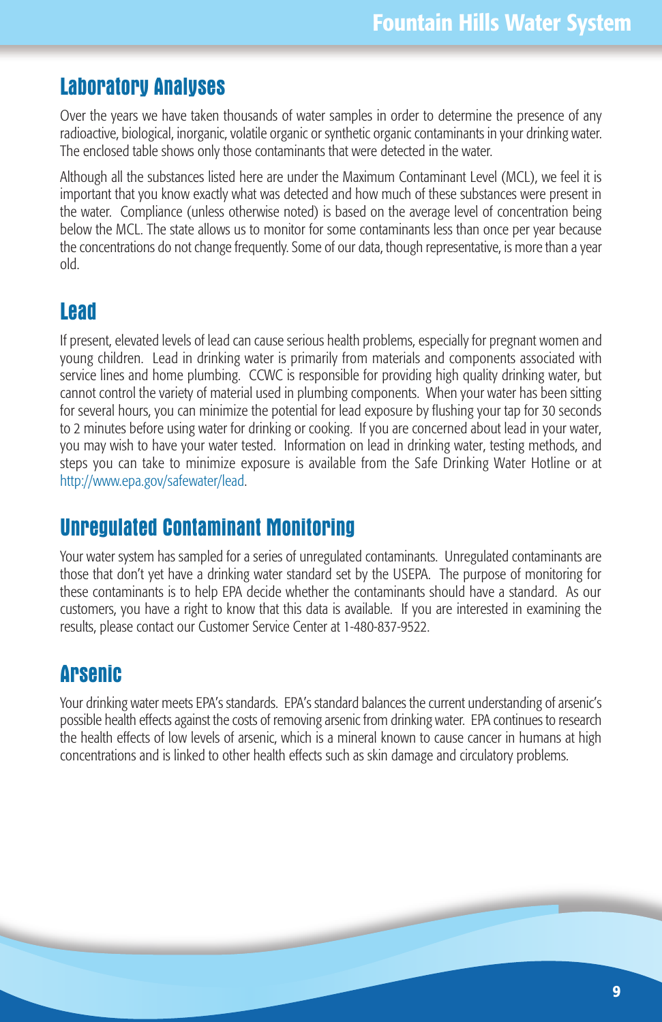#### **Laboratory Analyses**

Over the years we have taken thousands of water samples in order to determine the presence of any radioactive, biological, inorganic, volatile organic or synthetic organic contaminants in your drinking water. The enclosed table shows only those contaminants that were detected in the water.

Although all the substances listed here are under the Maximum Contaminant Level (MCL), we feel it is important that you know exactly what was detected and how much of these substances were present in the water. Compliance (unless otherwise noted) is based on the average level of concentration being below the MCL. The state allows us to monitor for some contaminants less than once per year because the concentrations do not change frequently. Some of our data, though representative, is more than a year old.

#### **Lead**

If present, elevated levels of lead can cause serious health problems, especially for pregnant women and young children. Lead in drinking water is primarily from materials and components associated with service lines and home plumbing. CCWC is responsible for providing high quality drinking water, but cannot control the variety of material used in plumbing components. When your water has been sitting for several hours, you can minimize the potential for lead exposure by flushing your tap for 30 seconds to 2 minutes before using water for drinking or cooking. If you are concerned about lead in your water, you may wish to have your water tested. Information on lead in drinking water, testing methods, and steps you can take to minimize exposure is available from the Safe Drinking Water Hotline or at http://www.epa.gov/safewater/lead.

#### **Unregulated Contaminant Monitoring**

Your water system has sampled for a series of unregulated contaminants. Unregulated contaminants are those that don't yet have a drinking water standard set by the USEPA. The purpose of monitoring for these contaminants is to help EPA decide whether the contaminants should have a standard. As our customers, you have a right to know that this data is available. If you are interested in examining the results, please contact our Customer Service Center at 1-480-837-9522.

#### **Arsenic**

Your drinking water meets EPA's standards. EPA's standard balances the current understanding of arsenic's possible health effects against the costs of removing arsenic from drinking water. EPA continues to research the health effects of low levels of arsenic, which is a mineral known to cause cancer in humans at high concentrations and is linked to other health effects such as skin damage and circulatory problems.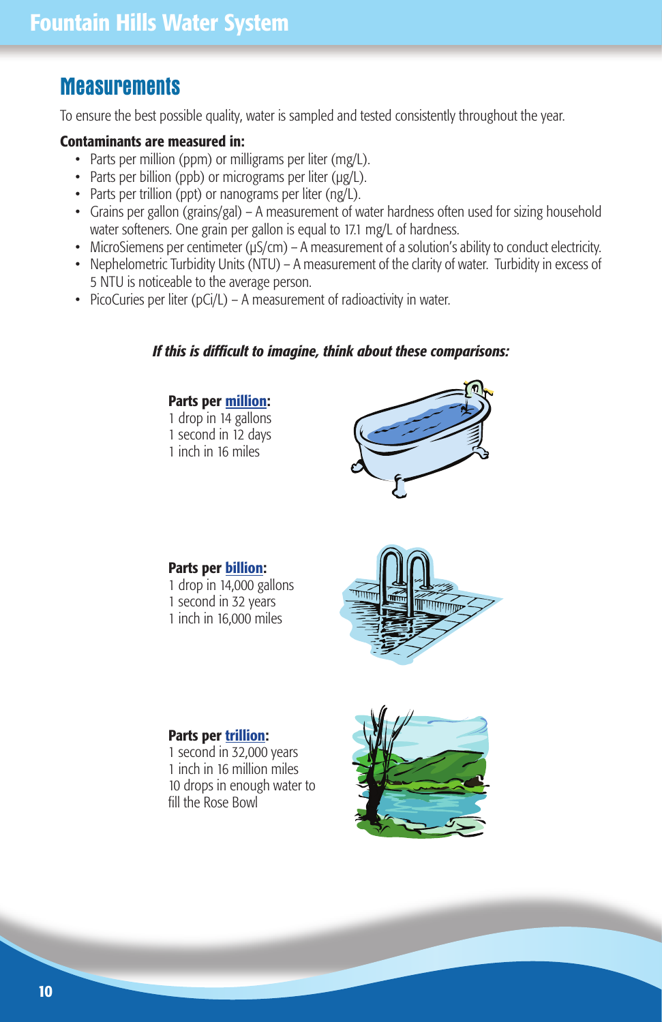#### **Measurements**

To ensure the best possible quality, water is sampled and tested consistently throughout the year.

#### **Contaminants are measured in:**

- Parts per million (ppm) or milligrams per liter (mg/L).
- Parts per billion (ppb) or micrograms per liter (µg/L).
- Parts per trillion (ppt) or nanograms per liter (ng/L).
- Grains per gallon (grains/gal) A measurement of water hardness often used for sizing household water softeners. One grain per gallon is equal to 17.1 mg/L of hardness.
- MicroSiemens per centimeter ( $\mu$ S/cm) A measurement of a solution's ability to conduct electricity.
- Nephelometric Turbidity Units (NTU) A measurement of the clarity of water. Turbidity in excess of 5 NTU is noticeable to the average person.
- PicoCuries per liter (pCi/L) A measurement of radioactivity in water.

#### *If this is difficult to imagine, think about these comparisons:*

#### **Parts per million:**

1 drop in 14 gallons 1 second in 12 days 1 inch in 16 miles



#### **Parts per billion:**

- 1 drop in 14,000 gallons 1 second in 32 years
- 1 inch in 16,000 miles



#### **Parts per trillion:**

1 second in 32,000 years 1 inch in 16 million miles 10 drops in enough water to fill the Rose Bowl

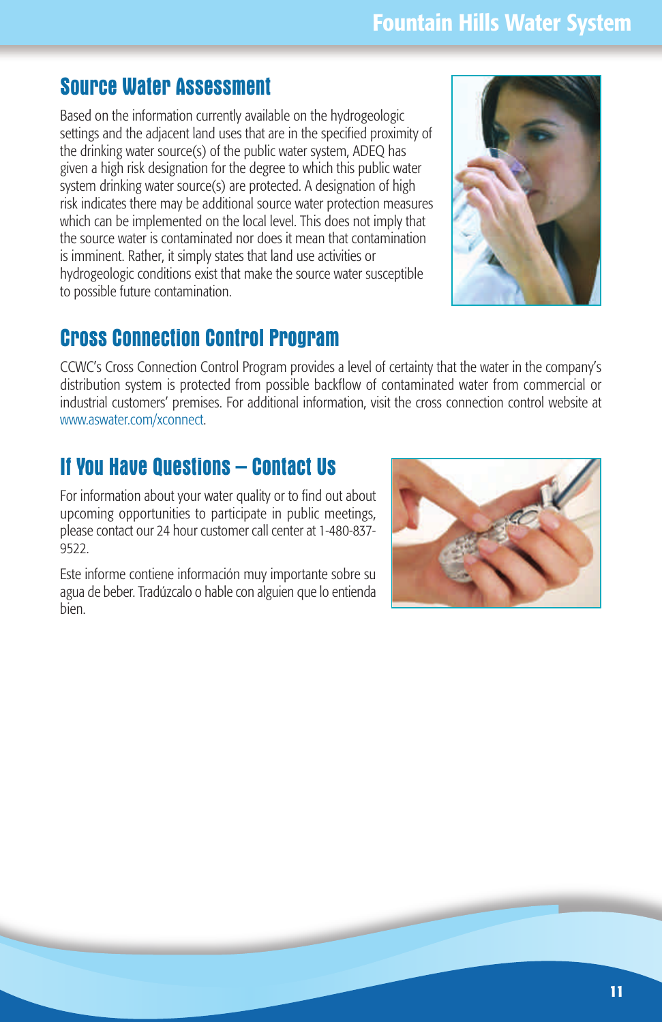#### **Source Water Assessment**

Based on the information currently available on the hydrogeologic settings and the adjacent land uses that are in the specified proximity of the drinking water source(s) of the public water system, ADEQ has given a high risk designation for the degree to which this public water system drinking water source(s) are protected. A designation of high risk indicates there may be additional source water protection measures which can be implemented on the local level. This does not imply that the source water is contaminated nor does it mean that contamination is imminent. Rather, it simply states that land use activities or hydrogeologic conditions exist that make the source water susceptible to possible future contamination.



#### **Cross Connection Control Program**

CCWC's Cross Connection Control Program provides a level of certainty that the water in the company's distribution system is protected from possible backflow of contaminated water from commercial or industrial customers' premises. For additional information, visit the cross connection control website at www.aswater.com/xconnect.

#### **If You Have Questions – Contact Us**

For information about your water quality or to find out about upcoming opportunities to participate in public meetings, please contact our 24 hour customer call center at 1-480-837- 9522.

Este informe contiene información muy importante sobre su agua de beber. Tradúzcalo o hable con alguien que lo entienda bien.